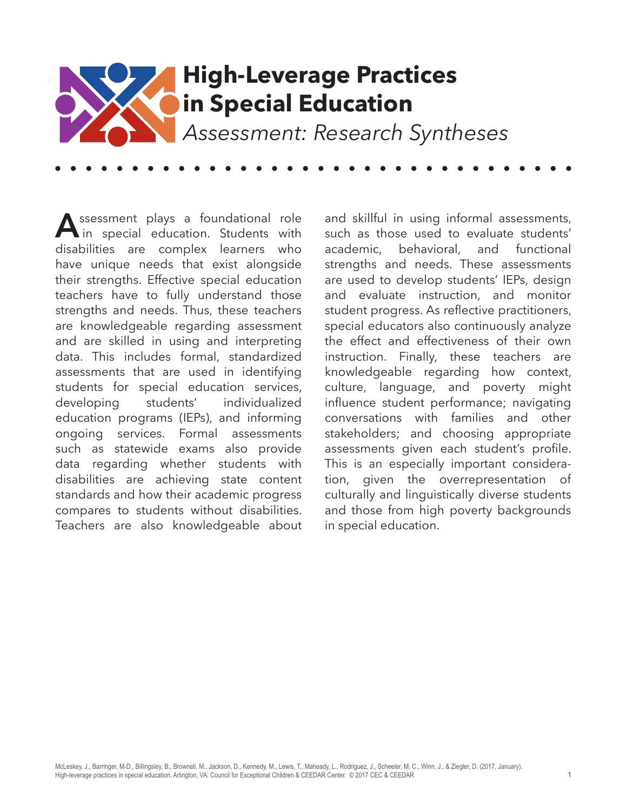

**A**ssessment plays a foundational role<br>in special education. Students with disabilities are complex learners who have unique needs that exist alongside their strengths. Effective special education teachers have to fully understand those strengths and needs. Thus, these teachers are knowledgeable regarding assessment and are skilled in using and interpreting data. This includes formal, standardized assessments that are used in identifying students for special education services, developing students' individualized education programs (IEPs), and informing ongoing services. Formal assessments such as statewide exams also provide data regarding whether students with disabilities are achieving state content standards and how their academic progress compares to students without disabilities. Teachers are also knowledgeable about

and skillful in using informal assessments, such as those used to evaluate students' academic, behavioral, and functional strengths and needs. These assessments are used to develop students' IEPs, design and evaluate instruction, and monitor student progress. As reflective practitioners, special educators also continuously analyze the effect and effectiveness of their own instruction. Finally, these teachers are knowledgeable regarding how context, culture, language, and poverty might influence student performance; navigating conversations with families and other stakeholders; and choosing appropriate assessments given each student's profile. This is an especially important consideration, given the overrepresentation of culturally and linguistically diverse students and those from high poverty backgrounds in special education.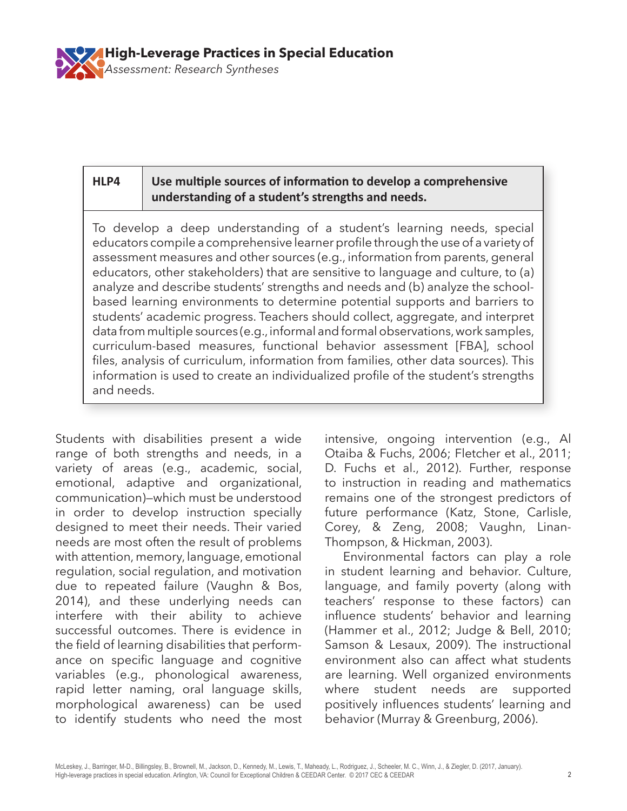

### **HLP4 Use multiple sources of information to develop a comprehensive understanding of a student's strengths and needs.**

To develop a deep understanding of a student's learning needs, special educators compile a comprehensive learner profile through the use of a variety of assessment measures and other sources (e.g., information from parents, general educators, other stakeholders) that are sensitive to language and culture, to (a) analyze and describe students' strengths and needs and (b) analyze the schoolbased learning environments to determine potential supports and barriers to students' academic progress. Teachers should collect, aggregate, and interpret data from multiple sources (e.g., informal and formal observations, work samples, curriculum-based measures, functional behavior assessment [FBA], school files, analysis of curriculum, information from families, other data sources). This information is used to create an individualized profile of the student's strengths and needs.

Students with disabilities present a wide range of both strengths and needs, in a variety of areas (e.g., academic, social, emotional, adaptive and organizational, communication)—which must be understood in order to develop instruction specially designed to meet their needs. Their varied needs are most often the result of problems with attention, memory, language, emotional regulation, social regulation, and motivation due to repeated failure (Vaughn & Bos, 2014), and these underlying needs can interfere with their ability to achieve successful outcomes. There is evidence in the field of learning disabilities that performance on specific language and cognitive variables (e.g., phonological awareness, rapid letter naming, oral language skills, morphological awareness) can be used to identify students who need the most

intensive, ongoing intervention (e.g., Al Otaiba & Fuchs, 2006; Fletcher et al., 2011; D. Fuchs et al., 2012). Further, response to instruction in reading and mathematics remains one of the strongest predictors of future performance (Katz, Stone, Carlisle, Corey, & Zeng, 2008; Vaughn, Linan-Thompson, & Hickman, 2003).

Environmental factors can play a role in student learning and behavior. Culture, language, and family poverty (along with teachers' response to these factors) can influence students' behavior and learning (Hammer et al., 2012; Judge & Bell, 2010; Samson & Lesaux, 2009). The instructional environment also can affect what students are learning. Well organized environments where student needs are supported positively influences students' learning and behavior (Murray & Greenburg, 2006).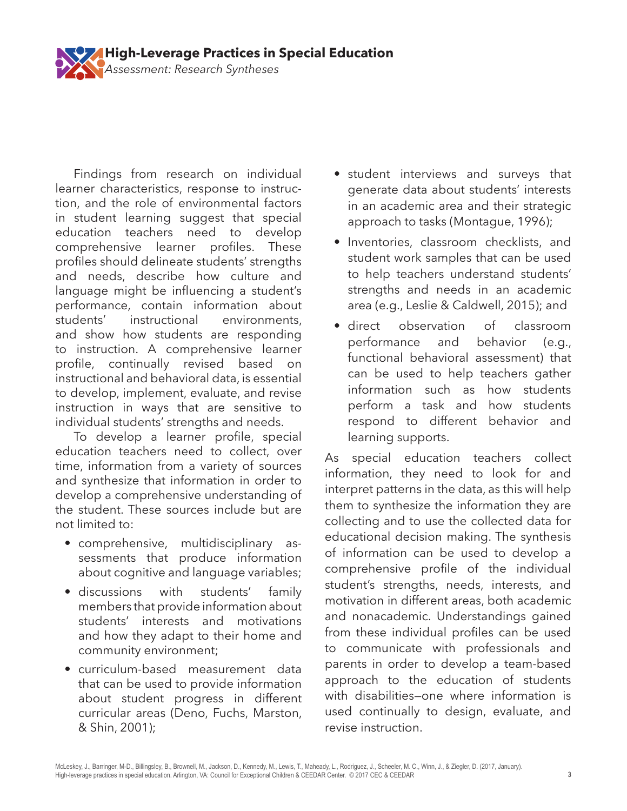

Findings from research on individual learner characteristics, response to instruction, and the role of environmental factors in student learning suggest that special education teachers need to develop comprehensive learner profiles. These profiles should delineate students' strengths and needs, describe how culture and language might be influencing a student's performance, contain information about students' instructional environments, and show how students are responding to instruction. A comprehensive learner profile, continually revised based on instructional and behavioral data, is essential to develop, implement, evaluate, and revise instruction in ways that are sensitive to individual students' strengths and needs.

To develop a learner profile, special education teachers need to collect, over time, information from a variety of sources and synthesize that information in order to develop a comprehensive understanding of the student. These sources include but are not limited to:

- comprehensive, multidisciplinary assessments that produce information about cognitive and language variables;
- discussions with students' family members that provide information about students' interests and motivations and how they adapt to their home and community environment;
- curriculum-based measurement data that can be used to provide information about student progress in different curricular areas (Deno, Fuchs, Marston, & Shin, 2001);
- student interviews and surveys that generate data about students' interests in an academic area and their strategic approach to tasks (Montague, 1996);
- Inventories, classroom checklists, and student work samples that can be used to help teachers understand students' strengths and needs in an academic area (e.g., Leslie & Caldwell, 2015); and
- direct observation of classroom performance and behavior (e.g., functional behavioral assessment) that can be used to help teachers gather information such as how students perform a task and how students respond to different behavior and learning supports.

As special education teachers collect information, they need to look for and interpret patterns in the data, as this will help them to synthesize the information they are collecting and to use the collected data for educational decision making. The synthesis of information can be used to develop a comprehensive profile of the individual student's strengths, needs, interests, and motivation in different areas, both academic and nonacademic. Understandings gained from these individual profiles can be used to communicate with professionals and parents in order to develop a team-based approach to the education of students with disabilities—one where information is used continually to design, evaluate, and revise instruction.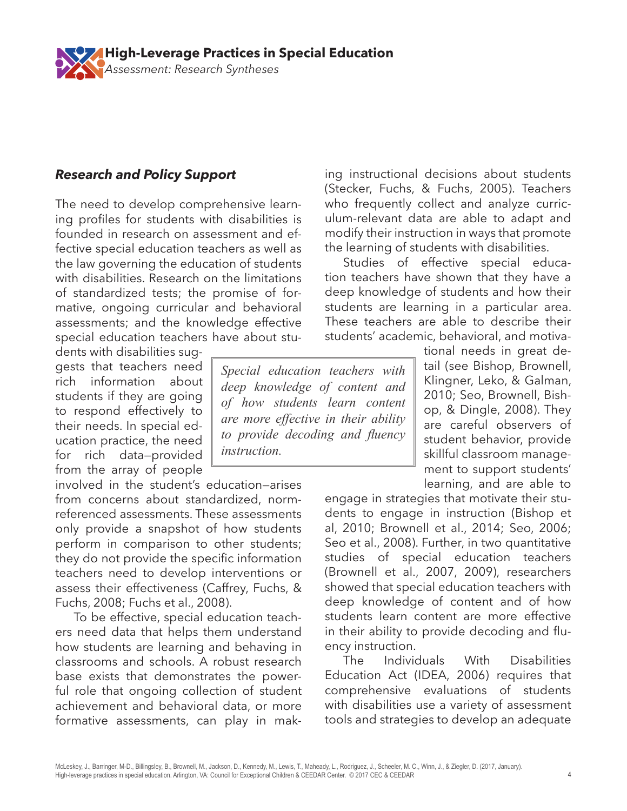*Assessment: Research Syntheses* **High-Leverage Practices in Special Education** 

# *Research and Policy Support*

The need to develop comprehensive learning profiles for students with disabilities is founded in research on assessment and effective special education teachers as well as the law governing the education of students with disabilities. Research on the limitations of standardized tests; the promise of formative, ongoing curricular and behavioral assessments; and the knowledge effective special education teachers have about stu-

dents with disabilities suggests that teachers need rich information about students if they are going to respond effectively to their needs. In special education practice, the need for rich data—provided from the array of people

involved in the student's education—arises from concerns about standardized, normreferenced assessments. These assessments only provide a snapshot of how students perform in comparison to other students; they do not provide the specific information teachers need to develop interventions or assess their effectiveness (Caffrey, Fuchs, & Fuchs, 2008; Fuchs et al., 2008).

To be effective, special education teachers need data that helps them understand how students are learning and behaving in classrooms and schools. A robust research base exists that demonstrates the powerful role that ongoing collection of student achievement and behavioral data, or more formative assessments, can play in mak-

ing instructional decisions about students (Stecker, Fuchs, & Fuchs, 2005). Teachers who frequently collect and analyze curriculum-relevant data are able to adapt and modify their instruction in ways that promote the learning of students with disabilities.

Studies of effective special education teachers have shown that they have a deep knowledge of students and how their students are learning in a particular area. These teachers are able to describe their students' academic, behavioral, and motiva-

*Special education teachers with deep knowledge of content and of how students learn content are more effective in their ability to provide decoding and fluency instruction.*

tional needs in great detail (see Bishop, Brownell, Klingner, Leko, & Galman, 2010; Seo, Brownell, Bishop, & Dingle, 2008). They are careful observers of student behavior, provide skillful classroom management to support students' learning, and are able to

engage in strategies that motivate their students to engage in instruction (Bishop et al, 2010; Brownell et al., 2014; Seo, 2006; Seo et al., 2008). Further, in two quantitative studies of special education teachers (Brownell et al., 2007, 2009), researchers showed that special education teachers with deep knowledge of content and of how students learn content are more effective in their ability to provide decoding and fluency instruction.

The Individuals With Disabilities Education Act (IDEA, 2006) requires that comprehensive evaluations of students with disabilities use a variety of assessment tools and strategies to develop an adequate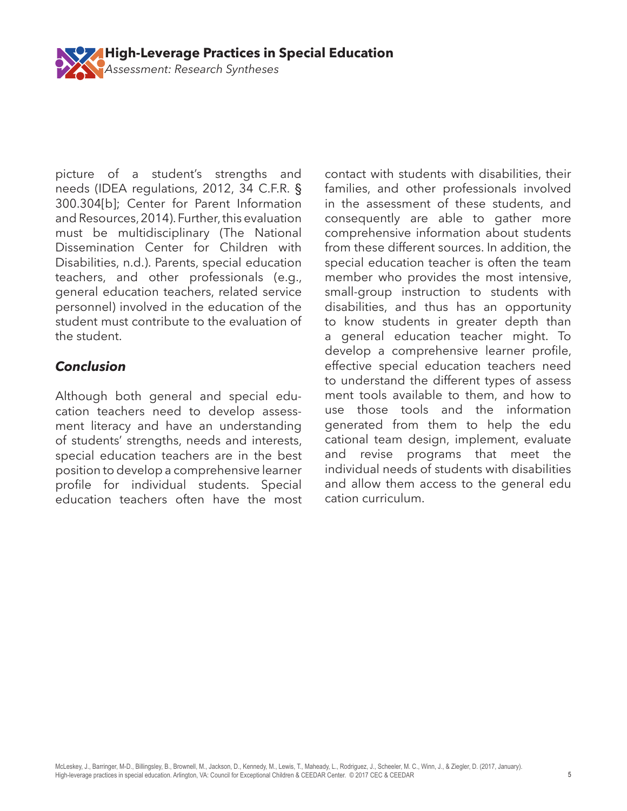

picture of a student's strengths and needs (IDEA regulations, 2012, 34 C.F.R. § 300.304[b]; Center for Parent Information and Resources, 2014). Further, this evaluation must be multidisciplinary (The National Dissemination Center for Children with Disabilities, n.d.). Parents, special education teachers, and other professionals (e.g., general education teachers, related service personnel) involved in the education of the student must contribute to the evaluation of the student.

## *Conclusion*

Although both general and special education teachers need to develop assessment literacy and have an understanding of students' strengths, needs and interests, special education teachers are in the best position to develop a comprehensive learner profile for individual students. Special education teachers often have the most

contact with students with disabilities, their families, and other professionals involved in the assessment of these students, and consequently are able to gather more comprehensive information about students from these different sources. In addition, the special education teacher is often the team member who provides the most intensive, small-group instruction to students with disabilities, and thus has an opportunity to know students in greater depth than a general education teacher might. To develop a comprehensive learner profile, effective special education teachers need to understand the different types of assess ment tools available to them, and how to use those tools and the information generated from them to help the edu cational team design, implement, evaluate and revise programs that meet the individual needs of students with disabilities and allow them access to the general edu cation curriculum.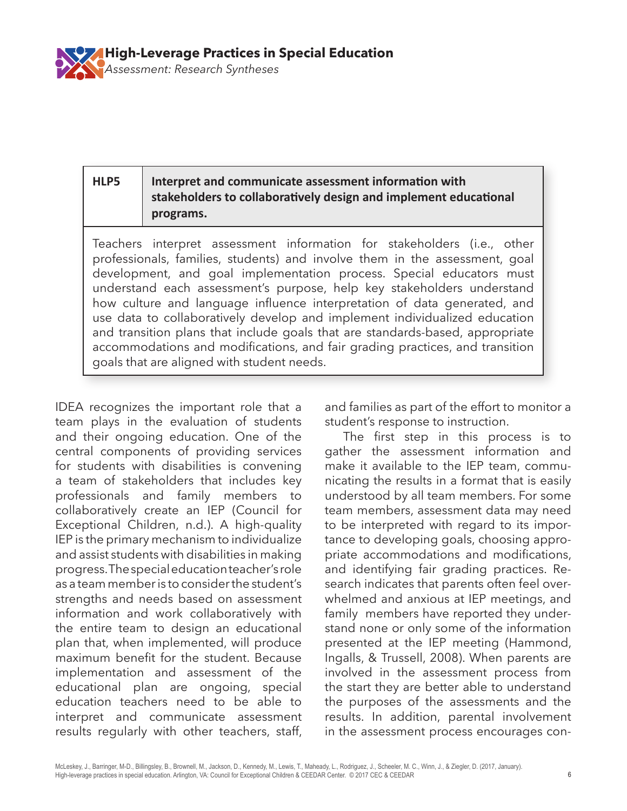

#### **HLP5 Interpret and communicate assessment information with stakeholders to collaboratively design and implement educational programs.**

Teachers interpret assessment information for stakeholders (i.e., other professionals, families, students) and involve them in the assessment, goal development, and goal implementation process. Special educators must understand each assessment's purpose, help key stakeholders understand how culture and language influence interpretation of data generated, and use data to collaboratively develop and implement individualized education and transition plans that include goals that are standards-based, appropriate accommodations and modifications, and fair grading practices, and transition goals that are aligned with student needs.

IDEA recognizes the important role that a team plays in the evaluation of students and their ongoing education. One of the central components of providing services for students with disabilities is convening a team of stakeholders that includes key professionals and family members to collaboratively create an IEP (Council for Exceptional Children, n.d.). A high-quality IEP is the primary mechanism to individualize and assist students with disabilities in making progress. The special education teacher's role as a team member is to consider the student's strengths and needs based on assessment information and work collaboratively with the entire team to design an educational plan that, when implemented, will produce maximum benefit for the student. Because implementation and assessment of the educational plan are ongoing, special education teachers need to be able to interpret and communicate assessment results regularly with other teachers, staff,

and families as part of the effort to monitor a student's response to instruction.

The first step in this process is to gather the assessment information and make it available to the IEP team, communicating the results in a format that is easily understood by all team members. For some team members, assessment data may need to be interpreted with regard to its importance to developing goals, choosing appropriate accommodations and modifications, and identifying fair grading practices. Research indicates that parents often feel overwhelmed and anxious at IEP meetings, and family members have reported they understand none or only some of the information presented at the IEP meeting (Hammond, Ingalls, & Trussell, 2008). When parents are involved in the assessment process from the start they are better able to understand the purposes of the assessments and the results. In addition, parental involvement in the assessment process encourages con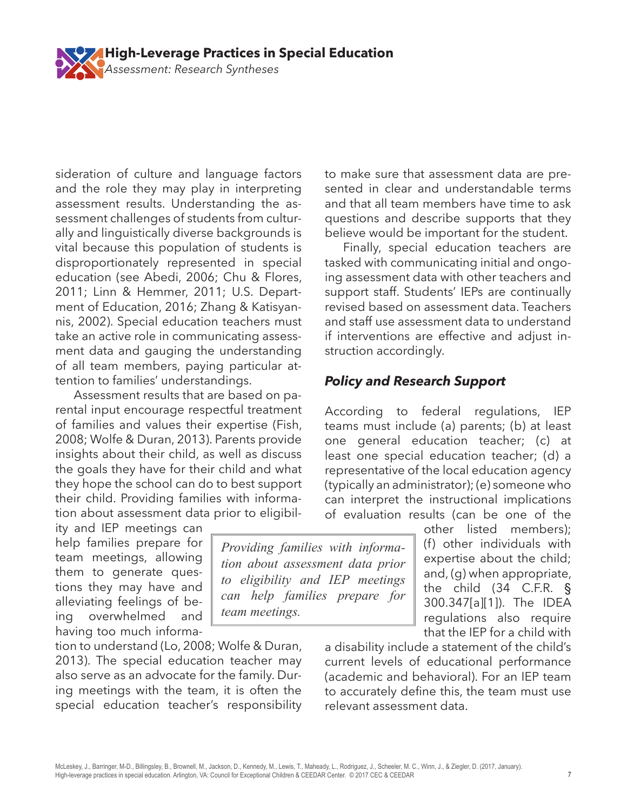sideration of culture and language factors and the role they may play in interpreting assessment results. Understanding the assessment challenges of students from culturally and linguistically diverse backgrounds is vital because this population of students is disproportionately represented in special education (see Abedi, 2006; Chu & Flores, 2011; Linn & Hemmer, 2011; U.S. Department of Education, 2016; Zhang & Katisyannis, 2002). Special education teachers must take an active role in communicating assessment data and gauging the understanding of all team members, paying particular attention to families' understandings.

Assessment results that are based on parental input encourage respectful treatment of families and values their expertise (Fish, 2008; Wolfe & Duran, 2013). Parents provide insights about their child, as well as discuss the goals they have for their child and what they hope the school can do to best support their child. Providing families with information about assessment data prior to eligibil-

ity and IEP meetings can help families prepare for team meetings, allowing them to generate questions they may have and alleviating feelings of being overwhelmed and having too much informa-

tion to understand (Lo, 2008; Wolfe & Duran, 2013). The special education teacher may also serve as an advocate for the family. During meetings with the team, it is often the special education teacher's responsibility to make sure that assessment data are presented in clear and understandable terms and that all team members have time to ask questions and describe supports that they believe would be important for the student.

Finally, special education teachers are tasked with communicating initial and ongoing assessment data with other teachers and support staff. Students' IEPs are continually revised based on assessment data. Teachers and staff use assessment data to understand if interventions are effective and adjust instruction accordingly.

## *Policy and Research Support*

According to federal regulations, IEP teams must include (a) parents; (b) at least one general education teacher; (c) at least one special education teacher; (d) a representative of the local education agency (typically an administrator); (e) someone who can interpret the instructional implications of evaluation results (can be one of the

> other listed members); (f) other individuals with expertise about the child; and, (g) when appropriate, the child (34 C.F.R. § 300.347[a][1]). The IDEA regulations also require that the IEP for a child with

a disability include a statement of the child's current levels of educational performance (academic and behavioral). For an IEP team to accurately define this, the team must use relevant assessment data.

*Providing families with information about assessment data prior to eligibility and IEP meetings can help families prepare for team meetings.* 

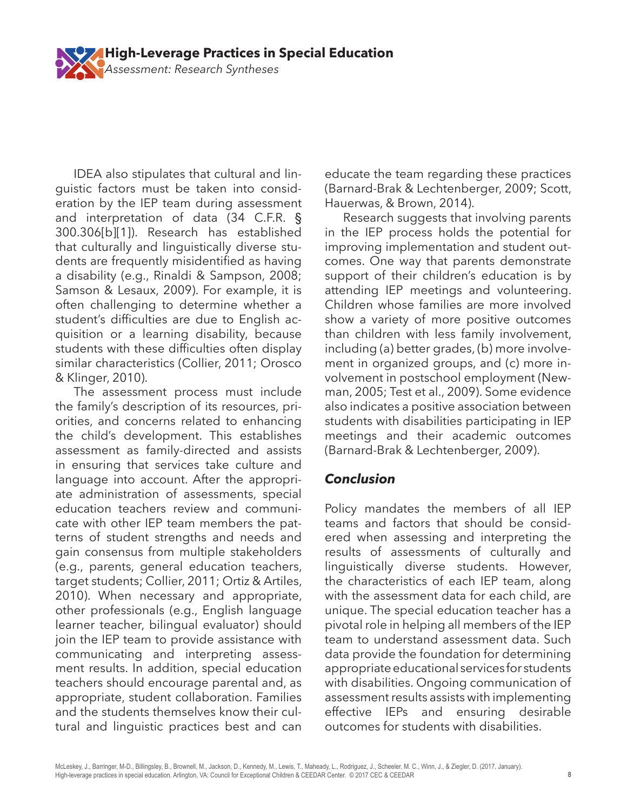

IDEA also stipulates that cultural and linguistic factors must be taken into consideration by the IEP team during assessment and interpretation of data (34 C.F.R. § 300.306[b][1]). Research has established that culturally and linguistically diverse students are frequently misidentified as having a disability (e.g., Rinaldi & Sampson, 2008; Samson & Lesaux, 2009). For example, it is often challenging to determine whether a student's difficulties are due to English acquisition or a learning disability, because students with these difficulties often display similar characteristics (Collier, 2011; Orosco & Klinger, 2010).

The assessment process must include the family's description of its resources, priorities, and concerns related to enhancing the child's development. This establishes assessment as family-directed and assists in ensuring that services take culture and language into account. After the appropriate administration of assessments, special education teachers review and communicate with other IEP team members the patterns of student strengths and needs and gain consensus from multiple stakeholders (e.g., parents, general education teachers, target students; Collier, 2011; Ortiz & Artiles, 2010). When necessary and appropriate, other professionals (e.g., English language learner teacher, bilingual evaluator) should join the IEP team to provide assistance with communicating and interpreting assessment results. In addition, special education teachers should encourage parental and, as appropriate, student collaboration. Families and the students themselves know their cultural and linguistic practices best and can

educate the team regarding these practices (Barnard-Brak & Lechtenberger, 2009; Scott, Hauerwas, & Brown, 2014).

Research suggests that involving parents in the IEP process holds the potential for improving implementation and student outcomes. One way that parents demonstrate support of their children's education is by attending IEP meetings and volunteering. Children whose families are more involved show a variety of more positive outcomes than children with less family involvement, including (a) better grades, (b) more involvement in organized groups, and (c) more involvement in postschool employment (Newman, 2005; Test et al., 2009). Some evidence also indicates a positive association between students with disabilities participating in IEP meetings and their academic outcomes (Barnard-Brak & Lechtenberger, 2009).

#### *Conclusion*

Policy mandates the members of all IEP teams and factors that should be considered when assessing and interpreting the results of assessments of culturally and linguistically diverse students. However, the characteristics of each IEP team, along with the assessment data for each child, are unique. The special education teacher has a pivotal role in helping all members of the IEP team to understand assessment data. Such data provide the foundation for determining appropriate educational services for students with disabilities. Ongoing communication of assessment results assists with implementing effective IEPs and ensuring desirable outcomes for students with disabilities.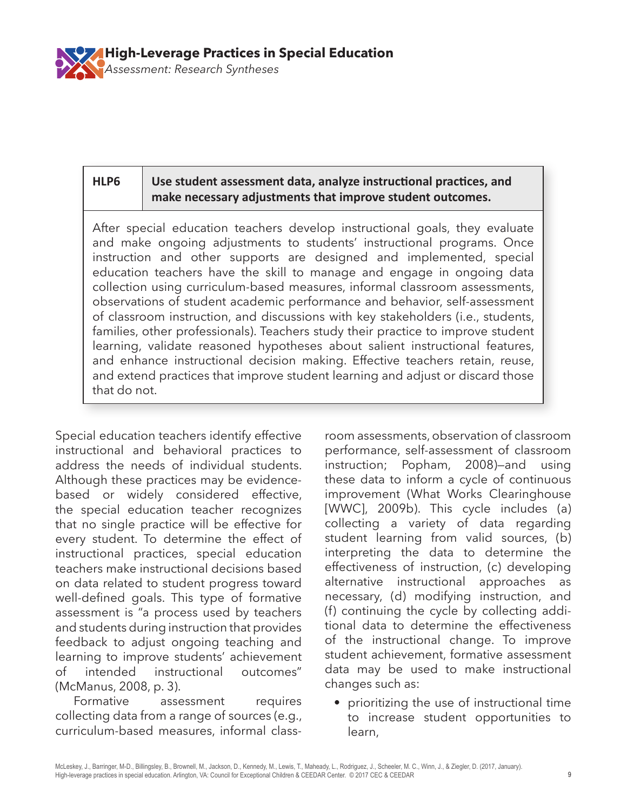

#### **HLP6 Use student assessment data, analyze instructional practices, and make necessary adjustments that improve student outcomes.**

After special education teachers develop instructional goals, they evaluate and make ongoing adjustments to students' instructional programs. Once instruction and other supports are designed and implemented, special education teachers have the skill to manage and engage in ongoing data collection using curriculum-based measures, informal classroom assessments, observations of student academic performance and behavior, self-assessment of classroom instruction, and discussions with key stakeholders (i.e., students, families, other professionals). Teachers study their practice to improve student learning, validate reasoned hypotheses about salient instructional features, and enhance instructional decision making. Effective teachers retain, reuse, and extend practices that improve student learning and adjust or discard those that do not.

Special education teachers identify effective instructional and behavioral practices to address the needs of individual students. Although these practices may be evidencebased or widely considered effective, the special education teacher recognizes that no single practice will be effective for every student. To determine the effect of instructional practices, special education teachers make instructional decisions based on data related to student progress toward well-defined goals. This type of formative assessment is "a process used by teachers and students during instruction that provides feedback to adjust ongoing teaching and learning to improve students' achievement of intended instructional outcomes" (McManus, 2008, p. 3).

Formative assessment requires collecting data from a range of sources (e.g., curriculum-based measures, informal class-

room assessments, observation of classroom performance, self-assessment of classroom instruction; Popham, 2008)—and using these data to inform a cycle of continuous improvement (What Works Clearinghouse [WWC], 2009b). This cycle includes (a) collecting a variety of data regarding student learning from valid sources, (b) interpreting the data to determine the effectiveness of instruction, (c) developing alternative instructional approaches as necessary, (d) modifying instruction, and (f) continuing the cycle by collecting additional data to determine the effectiveness of the instructional change. To improve student achievement, formative assessment data may be used to make instructional changes such as:

• prioritizing the use of instructional time to increase student opportunities to learn,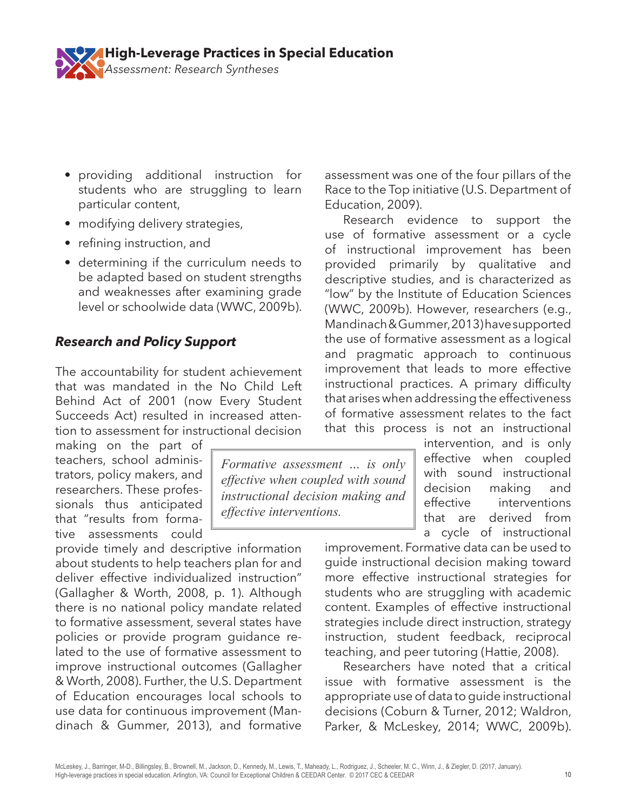

- providing additional instruction for students who are struggling to learn particular content,
- modifying delivery strategies,
- refining instruction, and
- determining if the curriculum needs to be adapted based on student strengths and weaknesses after examining grade level or schoolwide data (WWC, 2009b).

# *Research and Policy Support*

The accountability for student achievement that was mandated in the No Child Left Behind Act of 2001 (now Every Student Succeeds Act) resulted in increased attention to assessment for instructional decision

making on the part of teachers, school administrators, policy makers, and researchers. These professionals thus anticipated that "results from formative assessments could

provide timely and descriptive information about students to help teachers plan for and deliver effective individualized instruction" (Gallagher & Worth, 2008, p. 1). Although there is no national policy mandate related to formative assessment, several states have policies or provide program guidance related to the use of formative assessment to improve instructional outcomes (Gallagher & Worth, 2008). Further, the U.S. Department of Education encourages local schools to use data for continuous improvement (Mandinach & Gummer, 2013), and formative

*Formative assessment … is only effective when coupled with sound instructional decision making and effective interventions.*

assessment was one of the four pillars of the Race to the Top initiative (U.S. Department of Education, 2009).

Research evidence to support the use of formative assessment or a cycle of instructional improvement has been provided primarily by qualitative and descriptive studies, and is characterized as "low" by the Institute of Education Sciences (WWC, 2009b). However, researchers (e.g., Mandinach & Gummer, 2013) have supported the use of formative assessment as a logical and pragmatic approach to continuous improvement that leads to more effective instructional practices. A primary difficulty that arises when addressing the effectiveness of formative assessment relates to the fact that this process is not an instructional

> intervention, and is only effective when coupled with sound instructional decision making and effective interventions that are derived from a cycle of instructional

improvement. Formative data can be used to guide instructional decision making toward more effective instructional strategies for students who are struggling with academic content. Examples of effective instructional strategies include direct instruction, strategy instruction, student feedback, reciprocal teaching, and peer tutoring (Hattie, 2008).

Researchers have noted that a critical issue with formative assessment is the appropriate use of data to guide instructional decisions (Coburn & Turner, 2012; Waldron, Parker, & McLeskey, 2014; WWC, 2009b).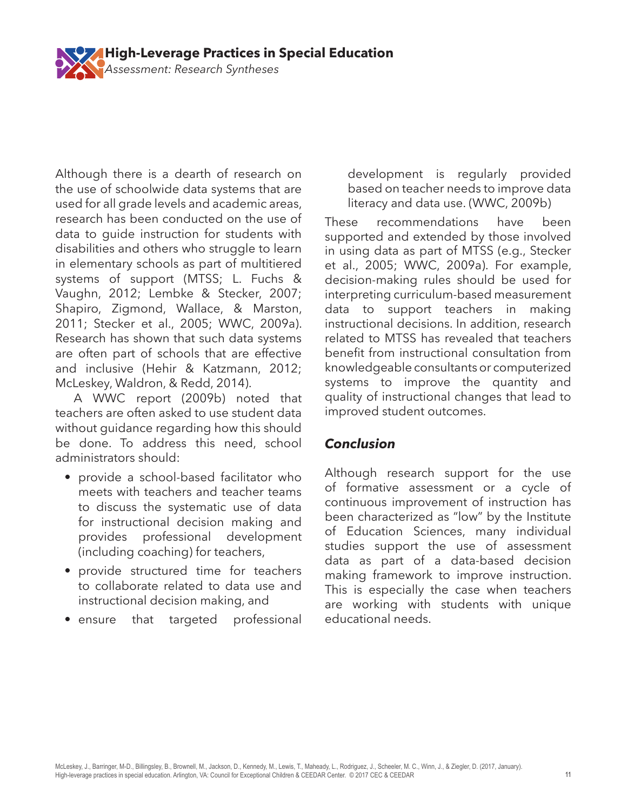

Although there is a dearth of research on the use of schoolwide data systems that are used for all grade levels and academic areas, research has been conducted on the use of data to guide instruction for students with disabilities and others who struggle to learn in elementary schools as part of multitiered systems of support (MTSS; L. Fuchs & Vaughn, 2012; Lembke & Stecker, 2007; Shapiro, Zigmond, Wallace, & Marston, 2011; Stecker et al., 2005; WWC, 2009a). Research has shown that such data systems are often part of schools that are effective and inclusive (Hehir & Katzmann, 2012; McLeskey, Waldron, & Redd, 2014).

A WWC report (2009b) noted that teachers are often asked to use student data without guidance regarding how this should be done. To address this need, school administrators should:

- provide a school-based facilitator who meets with teachers and teacher teams to discuss the systematic use of data for instructional decision making and provides professional development (including coaching) for teachers,
- provide structured time for teachers to collaborate related to data use and instructional decision making, and
- ensure that targeted professional

development is regularly provided based on teacher needs to improve data literacy and data use. (WWC, 2009b)

These recommendations have been supported and extended by those involved in using data as part of MTSS (e.g., Stecker et al., 2005; WWC, 2009a). For example, decision-making rules should be used for interpreting curriculum-based measurement data to support teachers in making instructional decisions. In addition, research related to MTSS has revealed that teachers benefit from instructional consultation from knowledgeable consultants or computerized systems to improve the quantity and quality of instructional changes that lead to improved student outcomes.

# *Conclusion*

Although research support for the use of formative assessment or a cycle of continuous improvement of instruction has been characterized as "low" by the Institute of Education Sciences, many individual studies support the use of assessment data as part of a data-based decision making framework to improve instruction. This is especially the case when teachers are working with students with unique educational needs.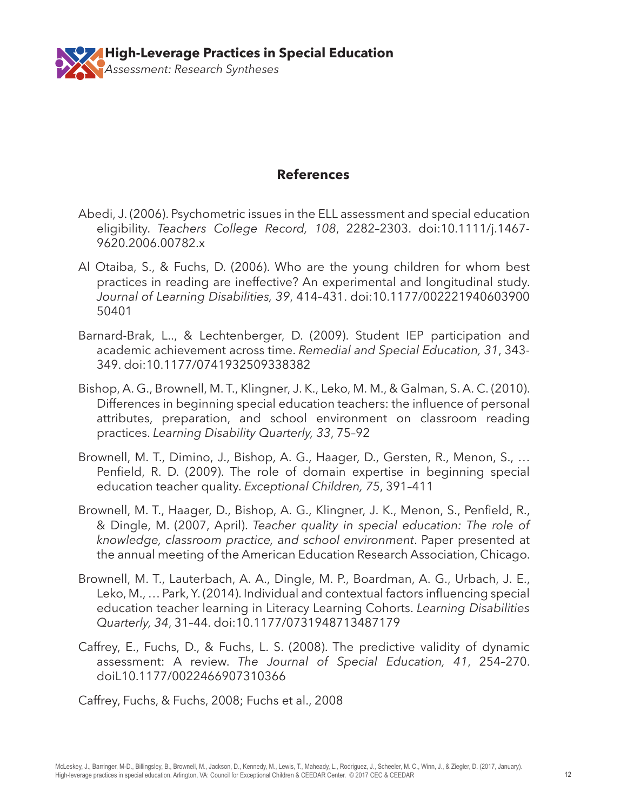

#### **References**

- Abedi, J. (2006). Psychometric issues in the ELL assessment and special education eligibility. *Teachers College Record, 108*, 2282–2303. doi:10.1111/j.1467- 9620.2006.00782.x
- Al Otaiba, S., & Fuchs, D. (2006). Who are the young children for whom best practices in reading are ineffective? An experimental and longitudinal study. *Journal of Learning Disabilities, 39*, 414–431. doi:10.1177/002221940603900 50401
- Barnard-Brak, L.., & Lechtenberger, D. (2009). Student IEP participation and academic achievement across time. *Remedial and Special Education, 31*, 343- 349. doi:10.1177/0741932509338382
- Bishop, A. G., Brownell, M. T., Klingner, J. K., Leko, M. M., & Galman, S. A. C. (2010). Differences in beginning special education teachers: the influence of personal attributes, preparation, and school environment on classroom reading practices. *Learning Disability Quarterly, 33*, 75–92
- Brownell, M. T., Dimino, J., Bishop, A. G., Haager, D., Gersten, R., Menon, S., … Penfield, R. D. (2009). The role of domain expertise in beginning special education teacher quality. *Exceptional Children, 75*, 391–411
- Brownell, M. T., Haager, D., Bishop, A. G., Klingner, J. K., Menon, S., Penfield, R., & Dingle, M. (2007, April). *Teacher quality in special education: The role of knowledge, classroom practice, and school environment*. Paper presented at the annual meeting of the American Education Research Association, Chicago.
- Brownell, M. T., Lauterbach, A. A., Dingle, M. P., Boardman, A. G., Urbach, J. E., Leko, M., … Park, Y. (2014). Individual and contextual factors influencing special education teacher learning in Literacy Learning Cohorts. *Learning Disabilities Quarterly, 34*, 31–44. doi:10.1177/0731948713487179
- Caffrey, E., Fuchs, D., & Fuchs, L. S. (2008). The predictive validity of dynamic assessment: A review. *The Journal of Special Education, 41*, 254–270. doiL10.1177/0022466907310366

Caffrey, Fuchs, & Fuchs, 2008; Fuchs et al., 2008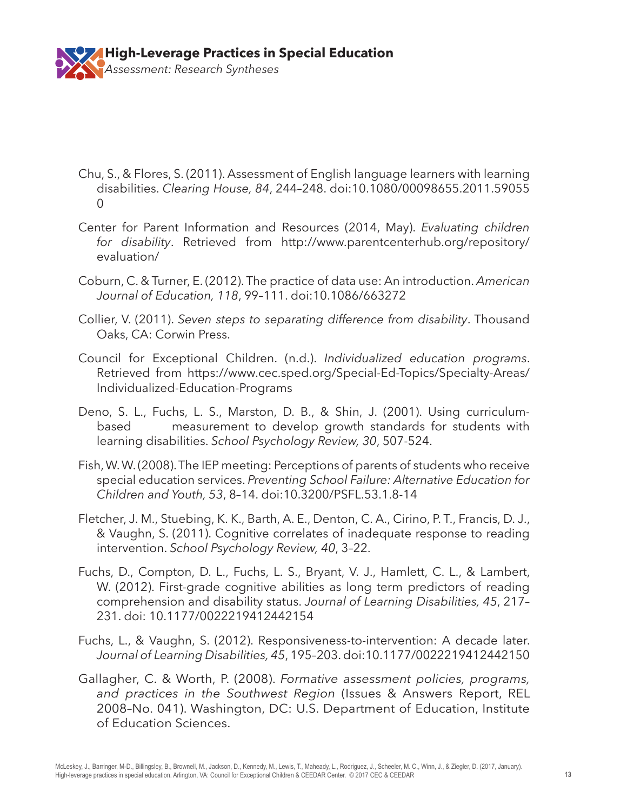

- Chu, S., & Flores, S. (2011). Assessment of English language learners with learning disabilities. *Clearing House, 84*, 244–248. doi:10.1080/00098655.2011.59055  $\Omega$
- Center for Parent Information and Resources (2014, May). *Evaluating children for disability*. Retrieved from http://www.parentcenterhub.org/repository/ evaluation/
- Coburn, C. & Turner, E. (2012). The practice of data use: An introduction. *American Journal of Education, 118*, 99–111. doi:10.1086/663272
- Collier, V. (2011). *Seven steps to separating difference from disability*. Thousand Oaks, CA: Corwin Press.
- Council for Exceptional Children. (n.d.). *Individualized education programs*. Retrieved from https://www.cec.sped.org/Special-Ed-Topics/Specialty-Areas/ Individualized-Education-Programs
- Deno, S. L., Fuchs, L. S., Marston, D. B., & Shin, J. (2001). Using curriculumbased measurement to develop growth standards for students with learning disabilities. *School Psychology Review, 30*, 507-524.
- Fish, W. W. (2008). The IEP meeting: Perceptions of parents of students who receive special education services. *Preventing School Failure: Alternative Education for Children and Youth, 53*, 8–14. doi:10.3200/PSFL.53.1.8-14
- Fletcher, J. M., Stuebing, K. K., Barth, A. E., Denton, C. A., Cirino, P. T., Francis, D. J., & Vaughn, S. (2011). Cognitive correlates of inadequate response to reading intervention. *School Psychology Review, 40*, 3–22.
- Fuchs, D., Compton, D. L., Fuchs, L. S., Bryant, V. J., Hamlett, C. L., & Lambert, W. (2012). First-grade cognitive abilities as long term predictors of reading comprehension and disability status. *Journal of Learning Disabilities, 45*, 217– 231. doi: 10.1177/0022219412442154
- Fuchs, L., & Vaughn, S. (2012). Responsiveness-to-intervention: A decade later. *Journal of Learning Disabilities, 45*, 195–203. doi:10.1177/0022219412442150
- Gallagher, C. & Worth, P. (2008). *Formative assessment policies, programs, and practices in the Southwest Region* (Issues & Answers Report, REL 2008–No. 041). Washington, DC: U.S. Department of Education, Institute of Education Sciences.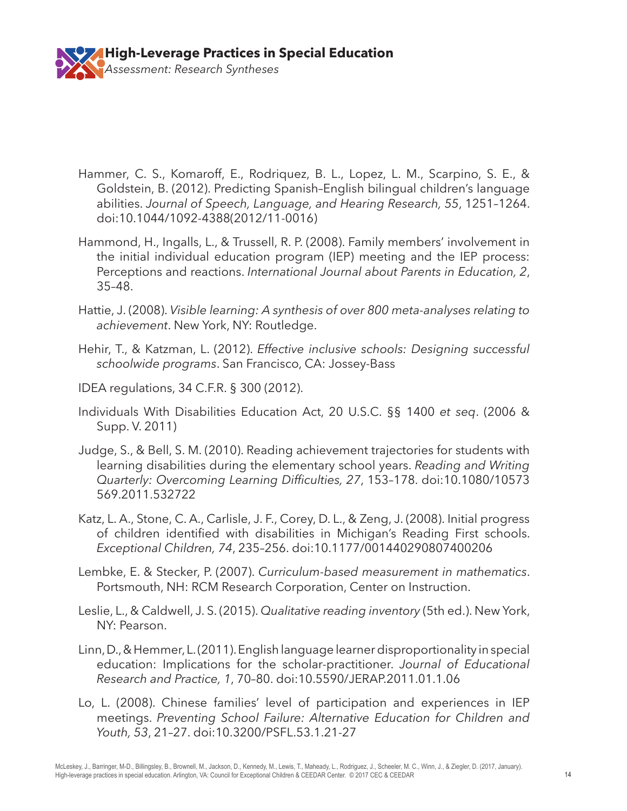

- Hammer, C. S., Komaroff, E., Rodriquez, B. L., Lopez, L. M., Scarpino, S. E., & Goldstein, B. (2012). Predicting Spanish–English bilingual children's language abilities. *Journal of Speech, Language, and Hearing Research, 55*, 1251–1264. doi:10.1044/1092-4388(2012/11-0016)
- Hammond, H., Ingalls, L., & Trussell, R. P. (2008). Family members' involvement in the initial individual education program (IEP) meeting and the IEP process: Perceptions and reactions. *International Journal about Parents in Education, 2*, 35–48.
- Hattie, J. (2008). *Visible learning: A synthesis of over 800 meta-analyses relating to achievement*. New York, NY: Routledge.
- Hehir, T., & Katzman, L. (2012). *Effective inclusive schools: Designing successful schoolwide programs*. San Francisco, CA: Jossey-Bass
- IDEA regulations, 34 C.F.R. § 300 (2012).
- Individuals With Disabilities Education Act, 20 U.S.C. §§ 1400 *et seq*. (2006 & Supp. V. 2011)
- Judge, S., & Bell, S. M. (2010). Reading achievement trajectories for students with learning disabilities during the elementary school years. *Reading and Writing Quarterly: Overcoming Learning Difficulties, 27*, 153–178. doi:10.1080/10573 569.2011.532722
- Katz, L. A., Stone, C. A., Carlisle, J. F., Corey, D. L., & Zeng, J. (2008). Initial progress of children identified with disabilities in Michigan's Reading First schools. *Exceptional Children, 74*, 235–256. doi:10.1177/001440290807400206
- Lembke, E. & Stecker, P. (2007). *Curriculum-based measurement in mathematics*. Portsmouth, NH: RCM Research Corporation, Center on Instruction.
- Leslie, L., & Caldwell, J. S. (2015). *Qualitative reading inventory* (5th ed.). New York, NY: Pearson.
- Linn, D., & Hemmer, L. (2011). English language learner disproportionality in special education: Implications for the scholar-practitioner. *Journal of Educational Research and Practice, 1*, 70–80. doi:10.5590/JERAP.2011.01.1.06
- Lo, L. (2008). Chinese families' level of participation and experiences in IEP meetings. *Preventing School Failure: Alternative Education for Children and Youth, 53*, 21–27. doi:10.3200/PSFL.53.1.21-27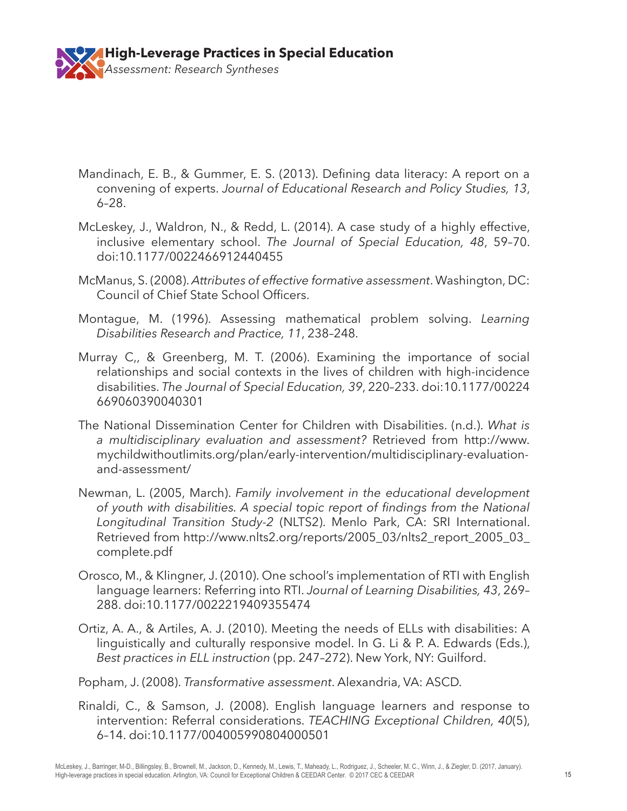

- Mandinach, E. B., & Gummer, E. S. (2013). Defining data literacy: A report on a convening of experts. *Journal of Educational Research and Policy Studies, 13*, 6–28.
- McLeskey, J., Waldron, N., & Redd, L. (2014). A case study of a highly effective, inclusive elementary school. *The Journal of Special Education, 48*, 59–70. doi:10.1177/0022466912440455
- McManus, S. (2008). *Attributes of effective formative assessment*. Washington, DC: Council of Chief State School Officers.
- Montague, M. (1996). Assessing mathematical problem solving. *Learning Disabilities Research and Practice, 11*, 238–248.
- Murray C,, & Greenberg, M. T. (2006). Examining the importance of social relationships and social contexts in the lives of children with high-incidence disabilities. *The Journal of Special Education, 39*, 220–233. doi:10.1177/00224 669060390040301
- The National Dissemination Center for Children with Disabilities. (n.d.). *What is a multidisciplinary evaluation and assessment?* Retrieved from http://www. mychildwithoutlimits.org/plan/early-intervention/multidisciplinary-evaluationand-assessment/
- Newman, L. (2005, March). *Family involvement in the educational development of youth with disabilities. A special topic report of findings from the National Longitudinal Transition Study-2* (NLTS2). Menlo Park, CA: SRI International. Retrieved from http://www.nlts2.org/reports/2005\_03/nlts2\_report\_2005\_03\_ complete.pdf
- Orosco, M., & Klingner, J. (2010). One school's implementation of RTI with English language learners: Referring into RTI. *Journal of Learning Disabilities, 43*, 269– 288. doi:10.1177/0022219409355474
- Ortiz, A. A., & Artiles, A. J. (2010). Meeting the needs of ELLs with disabilities: A linguistically and culturally responsive model. In G. Li & P. A. Edwards (Eds.), *Best practices in ELL instruction* (pp. 247–272). New York, NY: Guilford.
- Popham, J. (2008). *Transformative assessment*. Alexandria, VA: ASCD.
- Rinaldi, C., & Samson, J. (2008). English language learners and response to intervention: Referral considerations. *TEACHING Exceptional Children, 40*(5), 6–14. doi:10.1177/004005990804000501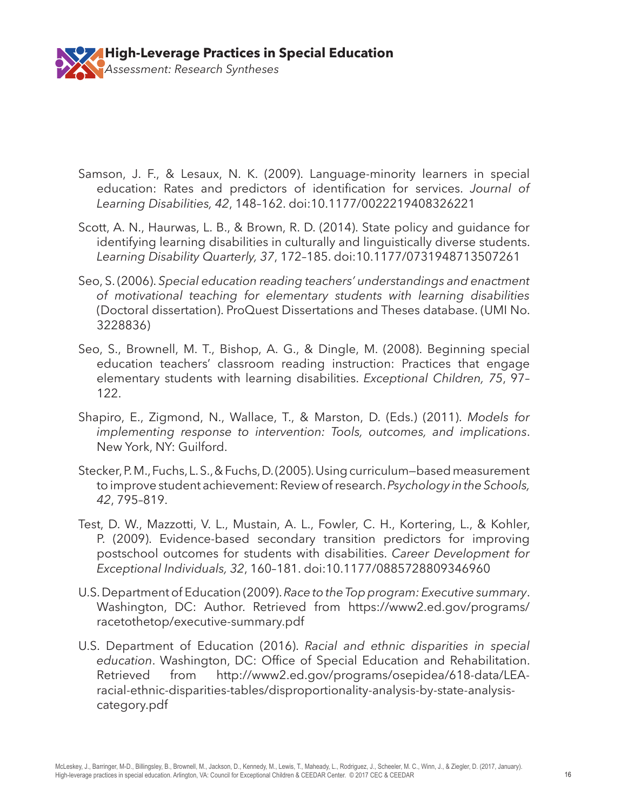

- Samson, J. F., & Lesaux, N. K. (2009). Language-minority learners in special education: Rates and predictors of identification for services. *Journal of Learning Disabilities, 42*, 148–162. doi:10.1177/0022219408326221
- Scott, A. N., Haurwas, L. B., & Brown, R. D. (2014). State policy and guidance for identifying learning disabilities in culturally and linguistically diverse students. *Learning Disability Quarterly, 37*, 172–185. doi:10.1177/0731948713507261
- Seo, S. (2006). *Special education reading teachers' understandings and enactment of motivational teaching for elementary students with learning disabilities* (Doctoral dissertation). ProQuest Dissertations and Theses database. (UMI No. 3228836)
- Seo, S., Brownell, M. T., Bishop, A. G., & Dingle, M. (2008). Beginning special education teachers' classroom reading instruction: Practices that engage elementary students with learning disabilities. *Exceptional Children, 75*, 97– 122.
- Shapiro, E., Zigmond, N., Wallace, T., & Marston, D. (Eds.) (2011). *Models for implementing response to intervention: Tools, outcomes, and implications*. New York, NY: Guilford.
- Stecker, P. M., Fuchs, L. S., & Fuchs, D. (2005). Using curriculum—based measurement to improve student achievement: Review of research. *Psychology in the Schools, 42*, 795–819.
- Test, D. W., Mazzotti, V. L., Mustain, A. L., Fowler, C. H., Kortering, L., & Kohler, P. (2009). Evidence-based secondary transition predictors for improving postschool outcomes for students with disabilities. *Career Development for Exceptional Individuals, 32*, 160–181. doi:10.1177/0885728809346960
- U.S. Department of Education (2009). *Race to the Top program: Executive summary*. Washington, DC: Author. Retrieved from https://www2.ed.gov/programs/ racetothetop/executive-summary.pdf
- U.S. Department of Education (2016). *Racial and ethnic disparities in special education*. Washington, DC: Office of Special Education and Rehabilitation. Retrieved from http://www2.ed.gov/programs/osepidea/618-data/LEAracial-ethnic-disparities-tables/disproportionality-analysis-by-state-analysiscategory.pdf